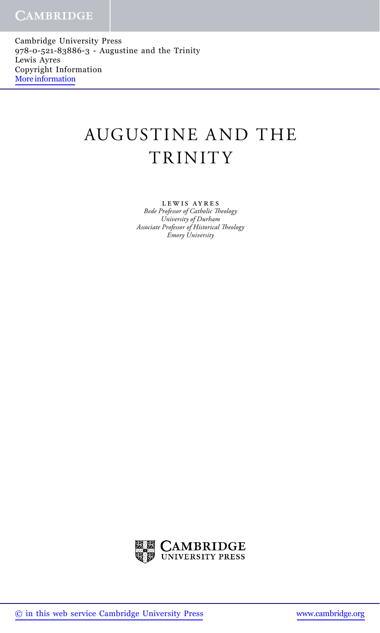Cambridge University Press 978-0-521-83886-3 - Augustine and the Trinity Lewis Ayres Copyright Information [More information](http://www.cambridge.org/9780521838863)

## AUGUSTINE A ND THE TRINITY

lewis ayres *Bede Professor of Catholic Theology University of Durham Associate Professor of Historical Theology Emory University*